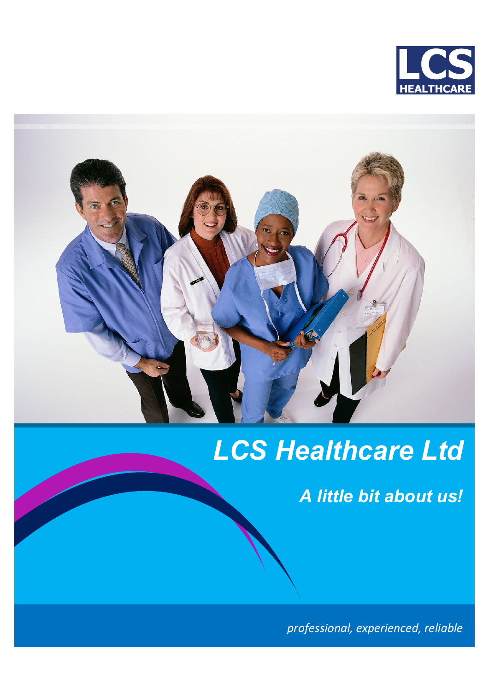



# *LCS Healthcare Ltd*

*A little bit about us!*

*professional, experienced, reliable*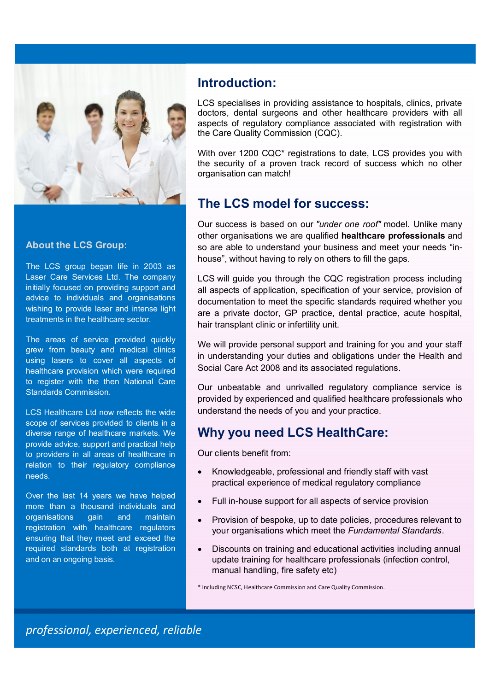

#### **About the LCS Group:**

The LCS group began life in 2003 as Laser Care Services Ltd. The company initially focused on providing support and advice to individuals and organisations wishing to provide laser and intense light treatments in the healthcare sector.

The areas of service provided quickly grew from beauty and medical clinics using lasers to cover all aspects of healthcare provision which were required to register with the then National Care Standards Commission.

LCS Healthcare Ltd now reflects the wide scope of services provided to clients in a diverse range of healthcare markets. We provide advice, support and practical help to providers in all areas of healthcare in relation to their regulatory compliance needs.

Over the last 14 years we have helped more than a thousand individuals and organisations gain and maintain registration with healthcare regulators ensuring that they meet and exceed the required standards both at registration and on an ongoing basis.

#### **Introduction:**

LCS specialises in providing assistance to hospitals, clinics, private doctors, dental surgeons and other healthcare providers with all aspects of regulatory compliance associated with registration with the Care Quality Commission (CQC).

With over 1200 CQC\* registrations to date, LCS provides you with the security of a proven track record of success which no other organisation can match!

#### **The LCS model for success:**

Our success is based on our *"under one roof"* model. Unlike many other organisations we are qualified **healthcare professionals** and so are able to understand your business and meet your needs "inhouse", without having to rely on others to fill the gaps.

LCS will guide you through the CQC registration process including all aspects of application, specification of your service, provision of documentation to meet the specific standards required whether you are a private doctor, GP practice, dental practice, acute hospital, hair transplant clinic or infertility unit.

We will provide personal support and training for you and your staff in understanding your duties and obligations under the Health and Social Care Act 2008 and its associated regulations.

Our unbeatable and unrivalled regulatory compliance service is provided by experienced and qualified healthcare professionals who understand the needs of you and your practice.

### **Why you need LCS HealthCare:**

Our clients benefit from:

- Knowledgeable, professional and friendly staff with vast practical experience of medical regulatory compliance
- Full in-house support for all aspects of service provision
- Provision of bespoke, up to date policies, procedures relevant to your organisations which meet the *Fundamental Standards*.
- Discounts on training and educational activities including annual update training for healthcare professionals (infection control, manual handling, fire safety etc)

\* Including NCSC, Healthcare Commission and Care Quality Commission.

*professional, experienced, reliable*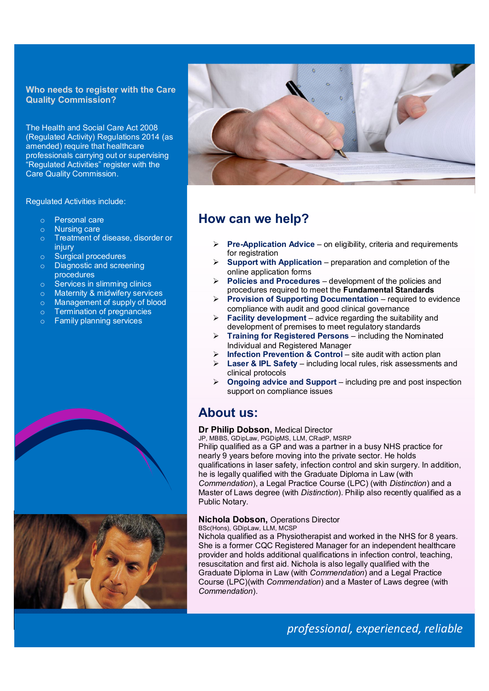#### **Who needs to register with the Care Quality Commission?**

The Health and Social Care Act 2008 (Regulated Activity) Regulations 2014 (as amended) require that healthcare professionals carrying out or supervising "Regulated Activities" register with the Care Quality Commission.

Regulated Activities include:

- o Personal care
- o Nursing care
- o Treatment of disease, disorder or injury
- o Surgical procedures
- o Diagnostic and screening procedures
- o Services in slimming clinics
- o Maternity & midwifery services
- o Management of supply of blood
- o Termination of pregnancies
- o Family planning services







## **How can we help?**

- **Pre-Application Advice** on eligibility, criteria and requirements for registration
- **Support with Application** preparation and completion of the online application forms
- **Policies and Procedures** development of the policies and procedures required to meet the **Fundamental Standards**
- **Provision of Supporting Documentation** required to evidence compliance with audit and good clinical governance
- **Facility development** advice regarding the suitability and development of premises to meet regulatory standards
- **Training for Registered Persons** including the Nominated Individual and Registered Manager
	- **Infection Prevention & Control** site audit with action plan
- **Laser & IPL Safety** including local rules, risk assessments and clinical protocols
- **Ongoing advice and Support** including pre and post inspection support on compliance issues

## **About us:**

#### **Dr Philip Dobson,** Medical Director

JP, MBBS, GDipLaw, PGDipMS, LLM, CRadP, MSRP Philip qualified as a GP and was a partner in a busy NHS practice for nearly 9 years before moving into the private sector. He holds qualifications in laser safety, infection control and skin surgery. In addition, he is legally qualified with the Graduate Diploma in Law (with *Commendation*), a Legal Practice Course (LPC) (with *Distinction*) and a Master of Laws degree (with *Distinction*). Philip also recently qualified as a Public Notary.

#### **Nichola Dobson,** Operations Director

BSc(Hons), GDipLaw, LLM, MCSP Nichola qualified as a Physiotherapist and worked in the NHS for 8 years. She is a former CQC Registered Manager for an independent healthcare provider and holds additional qualifications in infection control, teaching, resuscitation and first aid. Nichola is also legally qualified with the Graduate Diploma in Law (with *Commendation*) and a Legal Practice Course (LPC)(with *Commendation*) and a Master of Laws degree (with *Commendation*).